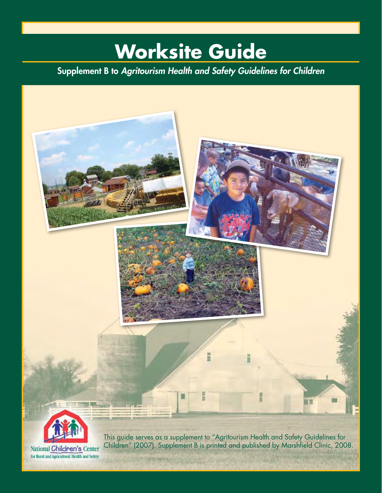# **Worksite Guide**

Supplement B to *Agritourism Health and Safety Guidelines for Children*

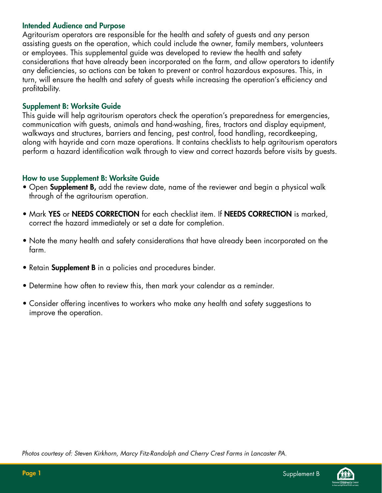#### Intended Audience and Purpose

Agritourism operators are responsible for the health and safety of guests and any person assisting guests on the operation, which could include the owner, family members, volunteers or employees. This supplemental guide was developed to review the health and safety considerations that have already been incorporated on the farm, and allow operators to identify any deficiencies, so actions can be taken to prevent or control hazardous exposures. This, in turn, will ensure the health and safety of guests while increasing the operation's efficiency and profitability.

#### Supplement B: Worksite Guide

This guide will help agritourism operators check the operation's preparedness for emergencies, communication with guests, animals and hand-washing, fires, tractors and display equipment, walkways and structures, barriers and fencing, pest control, food handling, recordkeeping, along with hayride and corn maze operations. It contains checklists to help agritourism operators perform a hazard identification walk through to view and correct hazards before visits by guests.

#### How to use Supplement B: Worksite Guide

- Open Supplement B, add the review date, name of the reviewer and begin a physical walk through of the agritourism operation.
- Mark YES or NEEDS CORRECTION for each checklist item. If NEEDS CORRECTION is marked, correct the hazard immediately or set a date for completion.
- Note the many health and safety considerations that have already been incorporated on the farm.
- Retain **Supplement B** in a policies and procedures binder.
- Determine how often to review this, then mark your calendar as a reminder.
- Consider offering incentives to workers who make any health and safety suggestions to improve the operation.

*Photos courtesy of: Steven Kirkhorn, Marcy Fitz-Randolph and Cherry Crest Farms in Lancaster PA.*

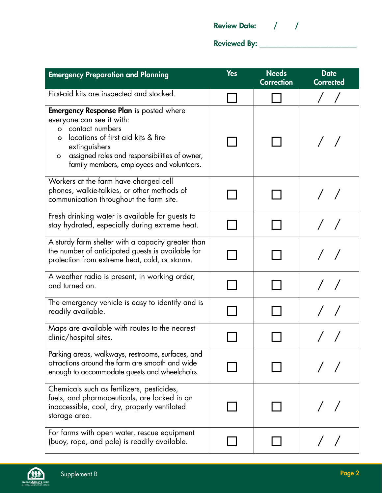| <b>Review Date:</b> |  |  |  |  |
|---------------------|--|--|--|--|
|---------------------|--|--|--|--|

Reviewed By: \_\_\_\_\_\_\_\_\_\_\_\_\_\_\_\_\_\_\_\_\_\_\_\_\_\_

| <b>Emergency Preparation and Planning</b>                                                                                                                                                                                                                                    | <b>Yes</b> | <b>Needs</b><br><b>Correction</b> | <b>Date</b><br><b>Corrected</b> |
|------------------------------------------------------------------------------------------------------------------------------------------------------------------------------------------------------------------------------------------------------------------------------|------------|-----------------------------------|---------------------------------|
| First-aid kits are inspected and stocked.                                                                                                                                                                                                                                    |            |                                   |                                 |
| <b>Emergency Response Plan</b> is posted where<br>everyone can see it with:<br>o contact numbers<br>locations of first aid kits & fire<br>$\Omega$<br>extinguishers<br>assigned roles and responsibilities of owner,<br>$\circ$<br>family members, employees and volunteers. |            |                                   |                                 |
| Workers at the farm have charged cell<br>phones, walkie-talkies, or other methods of<br>communication throughout the farm site.                                                                                                                                              |            |                                   |                                 |
| Fresh drinking water is available for guests to<br>stay hydrated, especially during extreme heat.                                                                                                                                                                            |            |                                   |                                 |
| A sturdy farm shelter with a capacity greater than<br>the number of anticipated guests is available for<br>protection from extreme heat, cold, or storms.                                                                                                                    |            |                                   |                                 |
| A weather radio is present, in working order,<br>and turned on.                                                                                                                                                                                                              |            |                                   |                                 |
| The emergency vehicle is easy to identify and is<br>readily available.                                                                                                                                                                                                       |            |                                   |                                 |
| Maps are available with routes to the nearest<br>clinic/hospital sites.                                                                                                                                                                                                      |            |                                   |                                 |
| Parking areas, walkways, restrooms, surfaces, and<br>attractions around the farm are smooth and wide<br>enough to accommodate guests and wheelchairs.                                                                                                                        |            |                                   |                                 |
| Chemicals such as fertilizers, pesticides,<br>fuels, and pharmaceuticals, are locked in an<br>inaccessible, cool, dry, properly ventilated<br>storage area.                                                                                                                  |            |                                   |                                 |
| For farms with open water, rescue equipment<br>(buoy, rope, and pole) is readily available.                                                                                                                                                                                  |            |                                   |                                 |

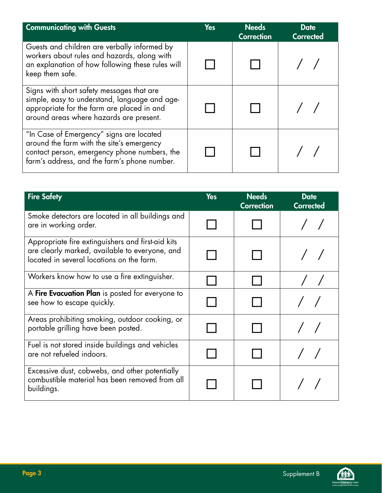| <b>Communicating with Guests</b>                                                                                                                                                      | <b>Yes</b> | <b>Needs</b><br><b>Correction</b> | <b>Date</b><br><b>Corrected</b> |
|---------------------------------------------------------------------------------------------------------------------------------------------------------------------------------------|------------|-----------------------------------|---------------------------------|
| Guests and children are verbally informed by<br>workers about rules and hazards, along with<br>an explanation of how following these rules will<br>keep them safe.                    |            |                                   |                                 |
| Signs with short safety messages that are<br>simple, easy to understand, language and age-<br>appropriate for the farm are placed in and<br>around areas where hazards are present.   |            |                                   |                                 |
| "In Case of Emergency" signs are located<br>around the farm with the site's emergency<br>contact person, emergency phone numbers, the<br>farm's address, and the farm's phone number. |            |                                   |                                 |

| <b>Fire Safety</b>                                                                                                                               | <b>Yes</b> | <b>Needs</b><br><b>Correction</b> | <b>Date</b><br><b>Corrected</b> |
|--------------------------------------------------------------------------------------------------------------------------------------------------|------------|-----------------------------------|---------------------------------|
| Smoke detectors are located in all buildings and<br>are in working order.                                                                        |            |                                   |                                 |
| Appropriate fire extinguishers and first-aid kits<br>are clearly marked, available to everyone, and<br>located in several locations on the farm. |            |                                   |                                 |
| Workers know how to use a fire extinguisher.                                                                                                     |            |                                   |                                 |
| A <b>Fire Evacuation Plan</b> is posted for everyone to<br>see how to escape quickly.                                                            |            |                                   |                                 |
| Areas prohibiting smoking, outdoor cooking, or<br>portable grilling have been posted.                                                            |            |                                   |                                 |
| Fuel is not stored inside buildings and vehicles<br>are not refueled indoors.                                                                    |            |                                   |                                 |
| Excessive dust, cobwebs, and other potentially<br>combustible material has been removed from all<br>buildings.                                   |            |                                   |                                 |

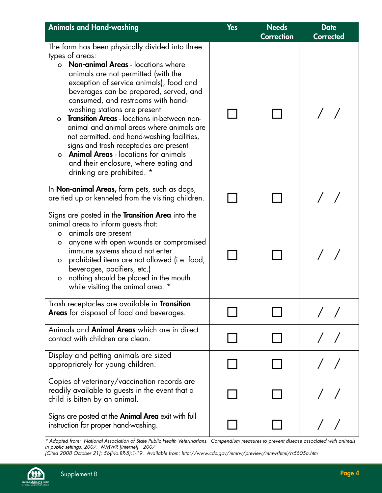| <b>Animals and Hand-washing</b>                                                                                                                                                                                                                                                                                                                                                                                                                                                                                                                                                                                                                        | <b>Yes</b> | <b>Needs</b><br><b>Correction</b> | <b>Date</b><br><b>Corrected</b> |
|--------------------------------------------------------------------------------------------------------------------------------------------------------------------------------------------------------------------------------------------------------------------------------------------------------------------------------------------------------------------------------------------------------------------------------------------------------------------------------------------------------------------------------------------------------------------------------------------------------------------------------------------------------|------------|-----------------------------------|---------------------------------|
| The farm has been physically divided into three<br>types of areas:<br><b>Non-animal Areas - locations where</b><br>$\circ$<br>animals are not permitted (with the<br>exception of service animals), food and<br>beverages can be prepared, served, and<br>consumed, and restrooms with hand-<br>washing stations are present<br>Transition Areas - locations in-between non-<br>$\circ$<br>animal and animal areas where animals are<br>not permitted, and hand-washing facilities,<br>signs and trash receptacles are present<br>o <b>Animal Areas</b> - locations for animals<br>and their enclosure, where eating and<br>drinking are prohibited. * |            |                                   |                                 |
| In <b>Non-animal Areas,</b> farm pets, such as dogs,<br>are tied up or kenneled from the visiting children.                                                                                                                                                                                                                                                                                                                                                                                                                                                                                                                                            |            |                                   |                                 |
| Signs are posted in the <b>Transition Area</b> into the<br>animal areas to inform guests that:<br>o animals are present<br>anyone with open wounds or compromised<br>o<br>immune systems should not enter<br>prohibited items are not allowed (i.e. food,<br>$\circ$<br>beverages, pacifiers, etc.)<br>nothing should be placed in the mouth<br>$\mathsf{o}$<br>while visiting the animal area. *                                                                                                                                                                                                                                                      |            |                                   |                                 |
| Trash receptacles are available in <b>Transition</b><br><b>Areas</b> for disposal of food and beverages.                                                                                                                                                                                                                                                                                                                                                                                                                                                                                                                                               |            |                                   |                                 |
| Animals and <b>Animal Areas</b> which are in direct<br>contact with children are clean.                                                                                                                                                                                                                                                                                                                                                                                                                                                                                                                                                                |            |                                   |                                 |
| Display and petting animals are sized<br>appropriately for young children.                                                                                                                                                                                                                                                                                                                                                                                                                                                                                                                                                                             |            |                                   |                                 |
| Copies of veterinary/vaccination records are<br>readily available to guests in the event that a<br>child is bitten by an animal.                                                                                                                                                                                                                                                                                                                                                                                                                                                                                                                       |            |                                   |                                 |
| Signs are posted at the <b>Animal Area</b> exit with full<br>instruction for proper hand-washing.                                                                                                                                                                                                                                                                                                                                                                                                                                                                                                                                                      |            |                                   |                                 |

*\* Adapted from: National Association of State Public Health Veterinarians. Compendium measures to prevent disease associated with animals in public settings, 2007. MMWR [Internet]. 2007*

*[Cited 2008 October 21]; 56(No.RR-5):1-19. Available from: http://www.cdc.gov/mmrw/preview/mmwrhtml/rr5605a.htm*

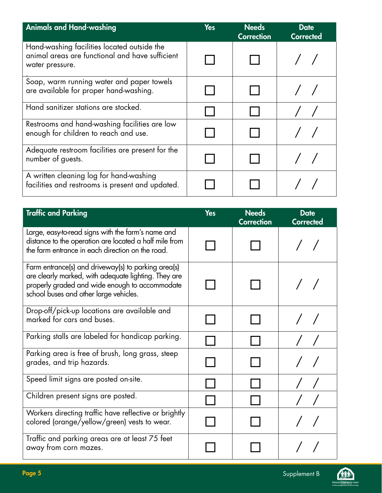| <b>Animals and Hand-washing</b>                                                                                   | <b>Yes</b> | <b>Needs</b><br><b>Correction</b> | <b>Date</b><br><b>Corrected</b> |
|-------------------------------------------------------------------------------------------------------------------|------------|-----------------------------------|---------------------------------|
| Hand-washing facilities located outside the<br>animal areas are functional and have sufficient<br>water pressure. |            |                                   |                                 |
| Soap, warm running water and paper towels<br>are available for proper hand-washing.                               |            |                                   |                                 |
| Hand sanitizer stations are stocked.                                                                              |            |                                   |                                 |
| Restrooms and hand-washing facilities are low<br>enough for children to reach and use.                            |            |                                   |                                 |
| Adequate restroom facilities are present for the<br>number of guests.                                             |            |                                   |                                 |
| A written cleaning log for hand-washing<br>facilities and restrooms is present and updated.                       |            |                                   |                                 |

| <b>Traffic and Parking</b>                                                                                                                                                                              | <b>Yes</b> | <b>Needs</b><br><b>Correction</b> | <b>Date</b><br><b>Corrected</b> |
|---------------------------------------------------------------------------------------------------------------------------------------------------------------------------------------------------------|------------|-----------------------------------|---------------------------------|
| Large, easy-to-read signs with the farm's name and<br>distance to the operation are located a half mile from<br>the farm entrance in each direction on the road.                                        |            |                                   |                                 |
| Farm entrance(s) and driveway(s) to parking area(s)<br>are clearly marked, with adequate lighting. They are<br>properly graded and wide enough to accommodate<br>school buses and other large vehicles. |            |                                   |                                 |
| Drop-off/pick-up locations are available and<br>marked for cars and buses.                                                                                                                              |            |                                   |                                 |
| Parking stalls are labeled for handicap parking.                                                                                                                                                        |            |                                   |                                 |
| Parking area is free of brush, long grass, steep<br>grades, and trip hazards.                                                                                                                           |            |                                   |                                 |
| Speed limit signs are posted on-site.                                                                                                                                                                   |            |                                   |                                 |
| Children present signs are posted.                                                                                                                                                                      |            |                                   |                                 |
| Workers directing traffic have reflective or brightly<br>colored (orange/yellow/green) vests to wear.                                                                                                   |            |                                   |                                 |
| Traffic and parking areas are at least 75 feet<br>away from corn mazes.                                                                                                                                 |            |                                   |                                 |

仙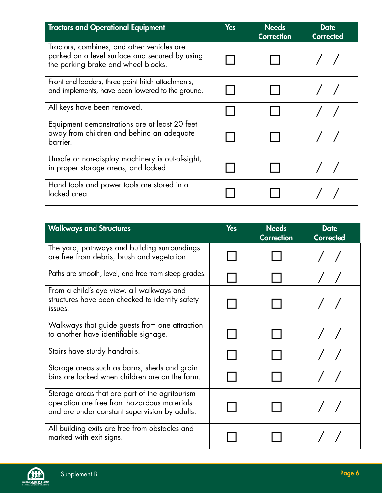| <b>Tractors and Operational Equipment</b>                                                                                           | <b>Yes</b> | <b>Needs</b><br><b>Correction</b> | <b>Date</b><br><b>Corrected</b> |
|-------------------------------------------------------------------------------------------------------------------------------------|------------|-----------------------------------|---------------------------------|
| Tractors, combines, and other vehicles are<br>parked on a level surface and secured by using<br>the parking brake and wheel blocks. |            |                                   |                                 |
| Front end loaders, three point hitch attachments,<br>and implements, have been lowered to the ground.                               |            |                                   |                                 |
| All keys have been removed.                                                                                                         |            |                                   |                                 |
| Equipment demonstrations are at least 20 feet<br>away from children and behind an adequate<br>barrier.                              |            |                                   |                                 |
| Unsafe or non-display machinery is out-of-sight,<br>in proper storage areas, and locked.                                            |            |                                   |                                 |
| Hand tools and power tools are stored in a<br>locked area.                                                                          |            |                                   |                                 |

| <b>Walkways and Structures</b>                                                                                                                 | <b>Yes</b> | <b>Needs</b><br><b>Correction</b> | <b>Date</b><br><b>Corrected</b> |
|------------------------------------------------------------------------------------------------------------------------------------------------|------------|-----------------------------------|---------------------------------|
| The yard, pathways and building surroundings<br>are free from debris, brush and vegetation.                                                    |            |                                   |                                 |
| Paths are smooth, level, and free from steep grades.                                                                                           |            |                                   |                                 |
| From a child's eye view, all walkways and<br>structures have been checked to identify safety<br>issues.                                        |            |                                   |                                 |
| Walkways that guide guests from one attraction<br>to another have identifiable signage.                                                        |            |                                   |                                 |
| Stairs have sturdy handrails.                                                                                                                  |            |                                   |                                 |
| Storage areas such as barns, sheds and grain<br>bins are locked when children are on the farm.                                                 |            |                                   |                                 |
| Storage areas that are part of the agritourism<br>operation are free from hazardous materials<br>and are under constant supervision by adults. |            |                                   |                                 |
| All building exits are free from obstacles and<br>marked with exit signs.                                                                      |            |                                   |                                 |

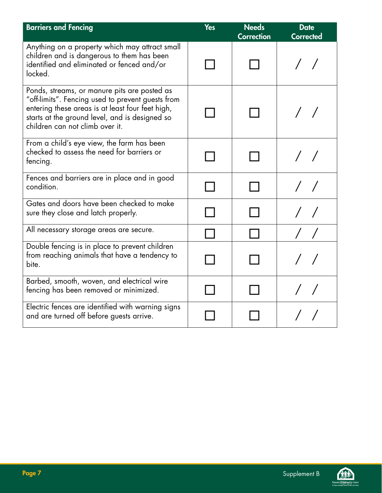| <b>Barriers and Fencing</b>                                                                                                                                                                                                                | <b>Yes</b> | <b>Needs</b><br><b>Correction</b> | <b>Date</b><br><b>Corrected</b> |
|--------------------------------------------------------------------------------------------------------------------------------------------------------------------------------------------------------------------------------------------|------------|-----------------------------------|---------------------------------|
| Anything on a property which may attract small<br>children and is dangerous to them has been<br>identified and eliminated or fenced and/or<br>locked.                                                                                      |            |                                   |                                 |
| Ponds, streams, or manure pits are posted as<br>"off-limits". Fencing used to prevent guests from<br>entering these areas is at least four feet high,<br>starts at the ground level, and is designed so<br>children can not climb over it. |            |                                   |                                 |
| From a child's eye view, the farm has been<br>checked to assess the need for barriers or<br>fencing.                                                                                                                                       |            |                                   |                                 |
| Fences and barriers are in place and in good<br>condition.                                                                                                                                                                                 |            |                                   |                                 |
| Gates and doors have been checked to make<br>sure they close and latch properly.                                                                                                                                                           |            |                                   |                                 |
| All necessary storage areas are secure.                                                                                                                                                                                                    |            |                                   |                                 |
| Double fencing is in place to prevent children<br>from reaching animals that have a tendency to<br>bite.                                                                                                                                   |            |                                   |                                 |
| Barbed, smooth, woven, and electrical wire<br>fencing has been removed or minimized.                                                                                                                                                       |            |                                   |                                 |
| Electric fences are identified with warning signs<br>and are turned off before guests arrive.                                                                                                                                              |            |                                   |                                 |

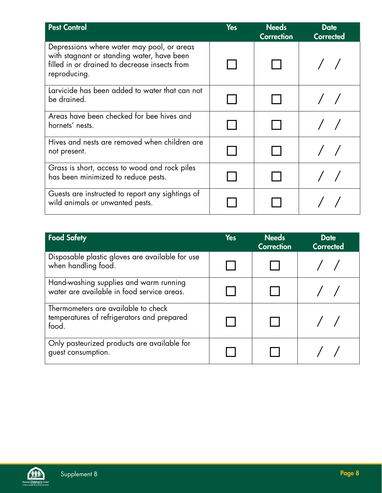| <b>Pest Control</b>                                                                                                                                       | <b>Yes</b> | <b>Needs</b><br><b>Correction</b> | <b>Date</b><br><b>Corrected</b> |
|-----------------------------------------------------------------------------------------------------------------------------------------------------------|------------|-----------------------------------|---------------------------------|
| Depressions where water may pool, or areas<br>with stagnant or standing water, have been<br>filled in or drained to decrease insects from<br>reproducing. |            |                                   |                                 |
| Larvicide has been added to water that can not<br>be drained.                                                                                             |            |                                   |                                 |
| Areas have been checked for bee hives and<br>hornets' nests.                                                                                              |            |                                   |                                 |
| Hives and nests are removed when children are<br>not present.                                                                                             |            |                                   |                                 |
| Grass is short, access to wood and rock piles<br>has been minimized to reduce pests.                                                                      |            |                                   |                                 |
| Guests are instructed to report any sightings of<br>wild animals or unwanted pests.                                                                       |            |                                   |                                 |

| <b>Food Safety</b>                                                                         | <b>Yes</b> | <b>Needs</b><br><b>Correction</b> | <b>Date</b><br>Corrected |
|--------------------------------------------------------------------------------------------|------------|-----------------------------------|--------------------------|
| Disposable plastic gloves are available for use<br>when handling food.                     |            |                                   |                          |
| Hand-washing supplies and warm running<br>water are available in food service areas.       |            |                                   |                          |
| Thermometers are available to check<br>temperatures of refrigerators and prepared<br>food. |            |                                   |                          |
| Only pasteurized products are available for<br>guest consumption.                          |            |                                   |                          |

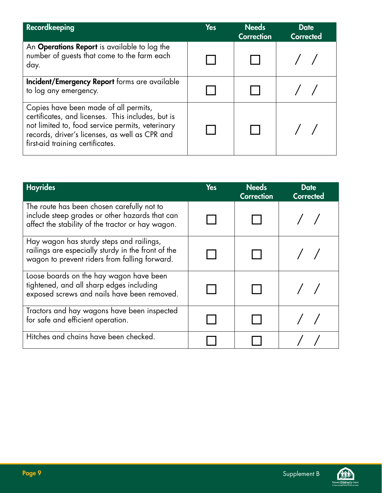| <b>Recordkeeping</b>                                                                                                                                                                                                                 | <b>Yes</b> | <b>Needs</b><br><b>Correction</b> | <b>Date</b><br><b>Corrected</b> |
|--------------------------------------------------------------------------------------------------------------------------------------------------------------------------------------------------------------------------------------|------------|-----------------------------------|---------------------------------|
| An <b>Operations Report</b> is available to log the<br>number of guests that come to the farm each<br>day.                                                                                                                           |            |                                   |                                 |
| Incident/Emergency Report forms are available<br>to log any emergency.                                                                                                                                                               |            |                                   |                                 |
| Copies have been made of all permits,<br>certificates, and licenses. This includes, but is<br>not limited to, food service permits, veterinary<br>records, driver's licenses, as well as CPR and<br>first-aid training certificates. |            |                                   |                                 |

| <b>Hayrides</b>                                                                                                                                   | <b>Yes</b> | <b>Needs</b><br><b>Correction</b> | <b>Date</b><br>Corrected |
|---------------------------------------------------------------------------------------------------------------------------------------------------|------------|-----------------------------------|--------------------------|
| The route has been chosen carefully not to<br>include steep grades or other hazards that can<br>affect the stability of the tractor or hay wagon. |            |                                   |                          |
| Hay wagon has sturdy steps and railings,<br>railings are especially sturdy in the front of the<br>wagon to prevent riders from falling forward.   |            |                                   |                          |
| Loose boards on the hay wagon have been<br>tightened, and all sharp edges including<br>exposed screws and nails have been removed.                |            |                                   |                          |
| Tractors and hay wagons have been inspected<br>for safe and efficient operation.                                                                  |            |                                   |                          |
| Hitches and chains have been checked.                                                                                                             |            |                                   |                          |

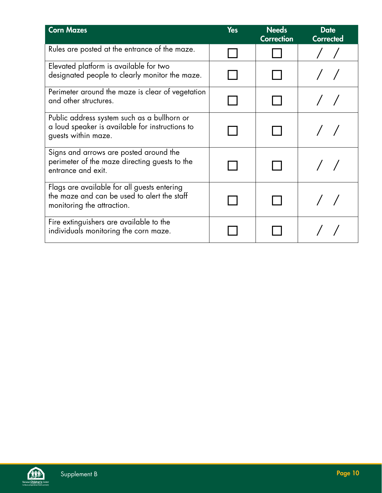| <b>Corn Mazes</b>                                                                                                        | <b>Yes</b> | <b>Needs</b><br><b>Correction</b> | <b>Date</b><br><b>Corrected</b> |
|--------------------------------------------------------------------------------------------------------------------------|------------|-----------------------------------|---------------------------------|
| Rules are posted at the entrance of the maze.                                                                            |            |                                   |                                 |
| Elevated platform is available for two<br>designated people to clearly monitor the maze.                                 |            |                                   |                                 |
| Perimeter around the maze is clear of vegetation<br>and other structures.                                                |            |                                   |                                 |
| Public address system such as a bullhorn or<br>a loud speaker is available for instructions to<br>guests within maze.    |            |                                   |                                 |
| Signs and arrows are posted around the<br>perimeter of the maze directing guests to the<br>entrance and exit.            |            |                                   |                                 |
| Flags are available for all guests entering<br>the maze and can be used to alert the staff<br>monitoring the attraction. |            |                                   |                                 |
| Fire extinguishers are available to the<br>individuals monitoring the corn maze.                                         |            |                                   |                                 |